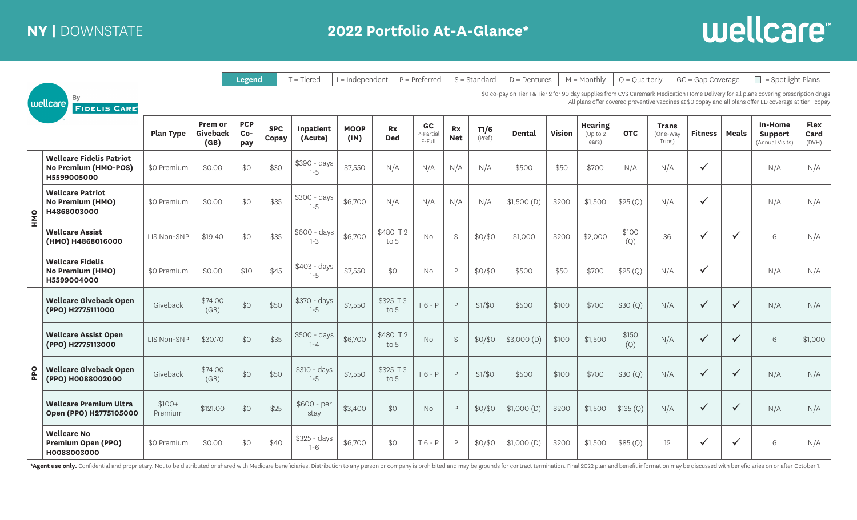

|            |                                                                        |                    |                                                                                                                                                                                                                                                    | <b>Legend</b>            |                     | $T = Tiered$            | $I = Independent$   |                         | $P = Preferred$           |                  | $S = Standard$ | $D =$ Dentures |               | $M =$ Monthly                        | $Q =$ Quarterly |                                   | $GC = Gap$ Coverage |              | $\Box$ = Spotlight Plans                     |                              |
|------------|------------------------------------------------------------------------|--------------------|----------------------------------------------------------------------------------------------------------------------------------------------------------------------------------------------------------------------------------------------------|--------------------------|---------------------|-------------------------|---------------------|-------------------------|---------------------------|------------------|----------------|----------------|---------------|--------------------------------------|-----------------|-----------------------------------|---------------------|--------------|----------------------------------------------|------------------------------|
|            | By<br>wellcare<br><b>FIDELIS CARE</b>                                  |                    | \$0 co-pay on Tier 1 & Tier 2 for 90 day supplies from CVS Caremark Medication Home Delivery for all plans covering prescription drugs<br>All plans offer covered preventive vaccines at \$0 copay and all plans offer ED coverage at tier 1 copay |                          |                     |                         |                     |                         |                           |                  |                |                |               |                                      |                 |                                   |                     |              |                                              |                              |
|            |                                                                        | <b>Plan Type</b>   | <b>Prem or</b><br>Giveback<br>(GB)                                                                                                                                                                                                                 | <b>PCP</b><br>Co-<br>pay | <b>SPC</b><br>Copay | Inpatient<br>(Acute)    | <b>MOOP</b><br>(IN) | <b>Rx</b><br><b>Ded</b> | GC<br>P-Partial<br>F-Full | Rx<br><b>Net</b> | T1/6<br>(Pref) | Dental         | <b>Vision</b> | <b>Hearing</b><br>(Up to 2)<br>ears) | <b>OTC</b>      | <b>Trans</b><br>One-Way<br>Trips) | <b>Fitness</b>      | <b>Meals</b> | In-Home<br><b>Support</b><br>(Annual Visits) | <b>Flex</b><br>Card<br>(DVH) |
|            | <b>Wellcare Fidelis Patriot</b><br>No Premium (HMO-POS)<br>H5599005000 | \$0 Premium        | \$0.00                                                                                                                                                                                                                                             | \$0                      | \$30                | \$390 - days<br>$1 - 5$ | \$7,550             | N/A                     | N/A                       | N/A              | N/A            | \$500          | \$50          | \$700                                | N/A             | N/A                               |                     |              | N/A                                          | N/A                          |
| <b>ONH</b> | <b>Wellcare Patriot</b><br>No Premium (HMO)<br>H4868003000             | \$0 Premium        | \$0.00                                                                                                                                                                                                                                             | \$0                      | \$35                | \$300 - days<br>$1 - 5$ | \$6,700             | N/A                     | N/A                       | N/A              | N/A            | \$1,500(D)     | \$200         | \$1,500                              | \$25(Q)         | N/A                               |                     |              | N/A                                          | N/A                          |
|            | <b>Wellcare Assist</b><br>(HMO) H4868016000                            | LIS Non-SNP        | \$19.40                                                                                                                                                                                                                                            | \$0                      | \$35                | \$600 - days<br>$1 - 3$ | \$6,700             | \$480 T2<br>to 5        | <b>No</b>                 | S                | \$0/\$0        | \$1,000        | \$200         | \$2,000                              | \$100<br>(Q)    | 36                                |                     | $\checkmark$ | 6                                            | N/A                          |
|            | <b>Wellcare Fidelis</b><br>No Premium (HMO)<br>H5599004000             | \$0 Premium        | \$0.00                                                                                                                                                                                                                                             | \$10                     | \$45                | \$403 - days<br>$1 - 5$ | \$7,550             | \$0                     | <b>No</b>                 | D                | \$0/\$0        | \$500          | \$50          | \$700                                | \$25(Q)         | N/A                               |                     |              | N/A                                          | N/A                          |
|            | <b>Wellcare Giveback Open</b><br>(PPO) H2775111000                     | Giveback           | \$74.00<br>(GB)                                                                                                                                                                                                                                    | \$0                      | \$50                | \$370 - days<br>$1 - 5$ | \$7,550             | \$325 T 3<br>to 5       | $T6 - P$                  | P                | \$1/\$0        | \$500          | \$100         | \$700                                | \$30(Q)         | N/A                               | ✓                   | $\checkmark$ | N/A                                          | N/A                          |
|            | <b>Wellcare Assist Open</b><br>(PPO) H2775113000                       | LIS Non-SNP        | \$30.70                                                                                                                                                                                                                                            | \$0                      | \$35                | \$500 - days<br>$1 - 4$ | \$6,700             | \$480 T2<br>to $5$      | <b>No</b>                 | S                | \$0/\$0        | \$3,000(D)     | \$100         | \$1,500                              | \$150<br>(Q)    | N/A                               |                     | $\checkmark$ | 6                                            | \$1,000                      |
| pdd        | <b>Wellcare Giveback Open</b><br>(PPO) H0088002000                     | Giveback           | \$74.00<br>(GB)                                                                                                                                                                                                                                    | \$0                      | \$50                | \$310 - days<br>$1 - 5$ | \$7,550             | \$325 T 3<br>to 5       | $T6 - P$                  | P                | \$1/\$0        | \$500          | \$100         | \$700                                | \$30(Q)         | N/A                               |                     | $\checkmark$ | N/A                                          | N/A                          |
|            | <b>Wellcare Premium Ultra</b><br>Open (PPO) H2775105000                | $$100+$<br>Premium | \$121.00                                                                                                                                                                                                                                           | \$0                      | \$25                | $$600 - per$<br>stay    | \$3,400             | \$0                     | <b>No</b>                 | $\mathsf{P}$     | \$0/\$0        | \$1,000(D)     | \$200         | \$1,500                              | \$135(Q)        | N/A                               |                     | $\checkmark$ | N/A                                          | N/A                          |
|            | <b>Wellcare No</b><br><b>Premium Open (PPO)</b><br>H0088003000         | \$0 Premium        | \$0.00                                                                                                                                                                                                                                             | \$0                      | \$40                | \$325 - days<br>$1 - 6$ | \$6,700             | \$0                     | $T6 - P$                  | $\mathsf{P}$     | \$0/\$0        | \$1,000(D)     | \$200         | \$1,500                              | \$85(Q)         | 12                                |                     | $\checkmark$ | 6                                            | N/A                          |

\*Agent use only. Confidential and proprietary. Not to be distributed or shared with Medicare beneficiaries. Distribution to any person or company is prohibited and may be grounds for contract termination. Final 2022 plan a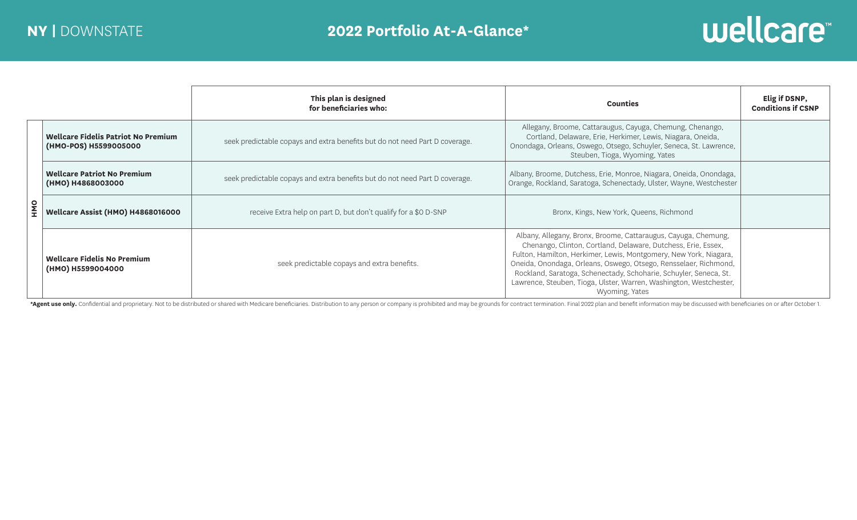

|            |                                                                     | This plan is designed<br>for beneficiaries who:                             | <b>Counties</b>                                                                                                                                                                                                                                                                                                                                                                                                                       | Elig if DSNP,<br><b>Conditions if CSNP</b> |
|------------|---------------------------------------------------------------------|-----------------------------------------------------------------------------|---------------------------------------------------------------------------------------------------------------------------------------------------------------------------------------------------------------------------------------------------------------------------------------------------------------------------------------------------------------------------------------------------------------------------------------|--------------------------------------------|
| <b>SAH</b> | <b>Wellcare Fidelis Patriot No Premium</b><br>(HMO-POS) H5599005000 | seek predictable copays and extra benefits but do not need Part D coverage. | Allegany, Broome, Cattaraugus, Cayuga, Chemung, Chenango,<br>Cortland, Delaware, Erie, Herkimer, Lewis, Niagara, Oneida,<br>Onondaga, Orleans, Oswego, Otsego, Schuyler, Seneca, St. Lawrence,<br>Steuben, Tioga, Wyoming, Yates                                                                                                                                                                                                      |                                            |
|            | <b>Wellcare Patriot No Premium</b><br>(HMO) H4868003000             | seek predictable copays and extra benefits but do not need Part D coverage. | Albany, Broome, Dutchess, Erie, Monroe, Niagara, Oneida, Onondaga,<br>Orange, Rockland, Saratoga, Schenectady, Ulster, Wayne, Westchester                                                                                                                                                                                                                                                                                             |                                            |
|            | <b>Wellcare Assist (HMO) H4868016000</b>                            | receive Extra help on part D, but don't qualify for a \$0 D-SNP             | Bronx, Kings, New York, Queens, Richmond                                                                                                                                                                                                                                                                                                                                                                                              |                                            |
|            | <b>Wellcare Fidelis No Premium</b><br>(HMO) H5599004000             | seek predictable copays and extra benefits.                                 | Albany, Allegany, Bronx, Broome, Cattaraugus, Cayuga, Chemung,<br>Chenango, Clinton, Cortland, Delaware, Dutchess, Erie, Essex,<br>Fulton, Hamilton, Herkimer, Lewis, Montgomery, New York, Niagara,<br>Oneida, Onondaga, Orleans, Oswego, Otsego, Rensselaer, Richmond,<br>Rockland, Saratoga, Schenectady, Schoharie, Schuyler, Seneca, St.<br>Lawrence, Steuben, Tioga, Ulster, Warren, Washington, Westchester,<br>Wyoming, Yates |                                            |

\*Agent use only. Confidential and proprietary. Not to be distributed or shared with Medicare beneficiaries. Distribution to any person or company is prohibited and may be grounds for contract termination. Final 2022 plan a